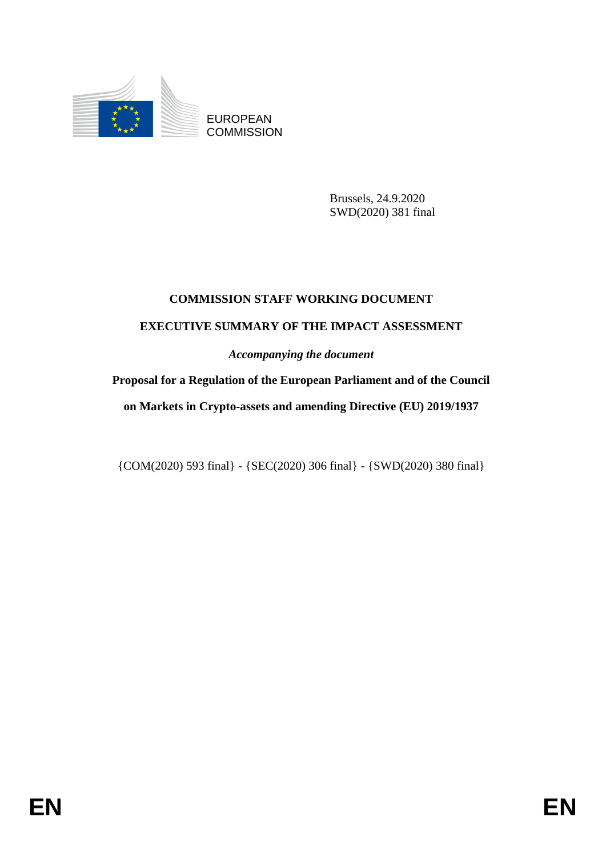

EUROPEAN **COMMISSION** 

> Brussels, 24.9.2020 SWD(2020) 381 final

# **COMMISSION STAFF WORKING DOCUMENT**

# **EXECUTIVE SUMMARY OF THE IMPACT ASSESSMENT**

*Accompanying the document*

**Proposal for a Regulation of the European Parliament and of the Council on Markets in Crypto-assets and amending Directive (EU) 2019/1937** 

{COM(2020) 593 final} - {SEC(2020) 306 final} - {SWD(2020) 380 final}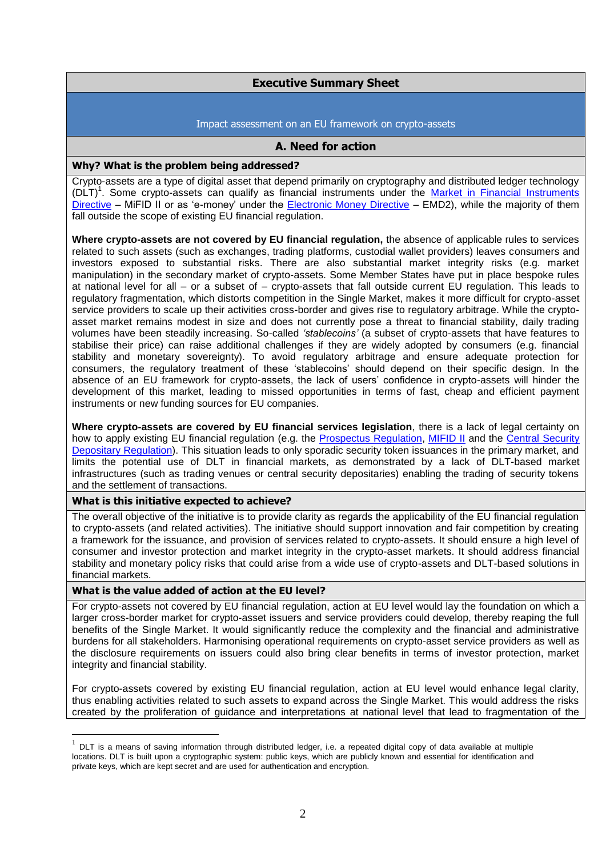# **Executive Summary Sheet**

#### Impact assessment on an EU framework on crypto-assets

### **A. Need for action**

#### **Why? What is the problem being addressed?**

Crypto-assets are a type of digital asset that depend primarily on cryptography and distributed ledger technology (DLT)<sup>1</sup>. Some crypto-assets can qualify as financial instruments under the Market in Financial Instruments [Directive](https://eur-lex.europa.eu/legal-content/EN/TXT/?uri=CELEX:32014L0065) – MiFID II or as 'e-money' under the [Electronic Money Directive](https://eur-lex.europa.eu/legal-content/EN/TXT/?uri=CELEX:32009L0110) – EMD2), while the majority of them fall outside the scope of existing EU financial regulation.

**Where crypto-assets are not covered by EU financial regulation,** the absence of applicable rules to services related to such assets (such as exchanges, trading platforms, custodial wallet providers) leaves consumers and investors exposed to substantial risks. There are also substantial market integrity risks (e.g. market manipulation) in the secondary market of crypto-assets. Some Member States have put in place bespoke rules at national level for all – or a subset of – crypto-assets that fall outside current EU regulation. This leads to regulatory fragmentation, which distorts competition in the Single Market, makes it more difficult for crypto-asset service providers to scale up their activities cross-border and gives rise to regulatory arbitrage. While the cryptoasset market remains modest in size and does not currently pose a threat to financial stability, daily trading volumes have been steadily increasing. So-called *'stablecoins'* (a subset of crypto-assets that have features to stabilise their price) can raise additional challenges if they are widely adopted by consumers (e.g. financial stability and monetary sovereignty). To avoid regulatory arbitrage and ensure adequate protection for consumers, the regulatory treatment of these 'stablecoins' should depend on their specific design. In the absence of an EU framework for crypto-assets, the lack of users' confidence in crypto-assets will hinder the development of this market, leading to missed opportunities in terms of fast, cheap and efficient payment instruments or new funding sources for EU companies.

**Where crypto-assets are covered by EU financial services legislation**, there is a lack of legal certainty on how to apply existing EU financial regulation (e.g. the [Prospectus Regulation,](https://eur-lex.europa.eu/legal-content/EN/TXT/?uri=CELEX%3A32017R1129) [MIFID II](https://eur-lex.europa.eu/legal-content/EN/TXT/?uri=CELEX:32014L0065) and the Central Security [Depositary Regulation\)](https://eur-lex.europa.eu/legal-content/EN/TXT/?uri=CELEX:32014R0909). This situation leads to only sporadic security token issuances in the primary market, and limits the potential use of DLT in financial markets, as demonstrated by a lack of DLT-based market infrastructures (such as trading venues or central security depositaries) enabling the trading of security tokens and the settlement of transactions.

#### **What is this initiative expected to achieve?**

1

The overall objective of the initiative is to provide clarity as regards the applicability of the EU financial regulation to crypto-assets (and related activities). The initiative should support innovation and fair competition by creating a framework for the issuance, and provision of services related to crypto-assets. It should ensure a high level of consumer and investor protection and market integrity in the crypto-asset markets. It should address financial stability and monetary policy risks that could arise from a wide use of crypto-assets and DLT-based solutions in financial markets.

#### **What is the value added of action at the EU level?**

For crypto-assets not covered by EU financial regulation, action at EU level would lay the foundation on which a larger cross-border market for crypto-asset issuers and service providers could develop, thereby reaping the full benefits of the Single Market. It would significantly reduce the complexity and the financial and administrative burdens for all stakeholders. Harmonising operational requirements on crypto-asset service providers as well as the disclosure requirements on issuers could also bring clear benefits in terms of investor protection, market integrity and financial stability.

For crypto-assets covered by existing EU financial regulation, action at EU level would enhance legal clarity, thus enabling activities related to such assets to expand across the Single Market. This would address the risks created by the proliferation of guidance and interpretations at national level that lead to fragmentation of the

 $1$  DLT is a means of saving information through distributed ledger, i.e. a repeated digital copy of data available at multiple locations. DLT is built upon a cryptographic system: public keys, which are publicly known and essential for identification and private keys, which are kept secret and are used for authentication and encryption.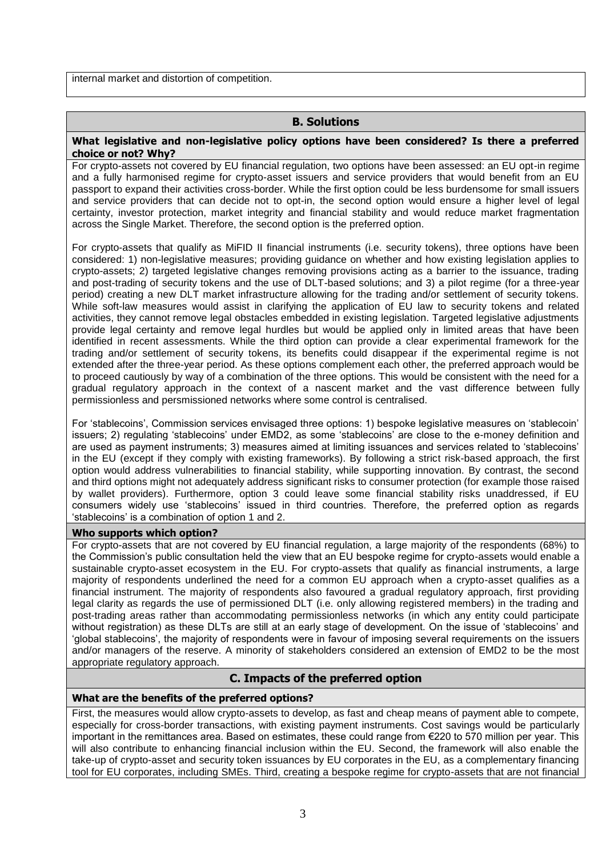internal market and distortion of competition.

# **B. Solutions**

#### **What legislative and non-legislative policy options have been considered? Is there a preferred choice or not? Why?**

For crypto-assets not covered by EU financial regulation, two options have been assessed: an EU opt-in regime and a fully harmonised regime for crypto-asset issuers and service providers that would benefit from an EU passport to expand their activities cross-border. While the first option could be less burdensome for small issuers and service providers that can decide not to opt-in, the second option would ensure a higher level of legal certainty, investor protection, market integrity and financial stability and would reduce market fragmentation across the Single Market. Therefore, the second option is the preferred option.

For crypto-assets that qualify as MiFID II financial instruments (i.e. security tokens), three options have been considered: 1) non-legislative measures; providing guidance on whether and how existing legislation applies to crypto-assets; 2) targeted legislative changes removing provisions acting as a barrier to the issuance, trading and post-trading of security tokens and the use of DLT-based solutions; and 3) a pilot regime (for a three-year period) creating a new DLT market infrastructure allowing for the trading and/or settlement of security tokens. While soft-law measures would assist in clarifying the application of EU law to security tokens and related activities, they cannot remove legal obstacles embedded in existing legislation. Targeted legislative adjustments provide legal certainty and remove legal hurdles but would be applied only in limited areas that have been identified in recent assessments. While the third option can provide a clear experimental framework for the trading and/or settlement of security tokens, its benefits could disappear if the experimental regime is not extended after the three-year period. As these options complement each other, the preferred approach would be to proceed cautiously by way of a combination of the three options. This would be consistent with the need for a gradual regulatory approach in the context of a nascent market and the vast difference between fully permissionless and persmissioned networks where some control is centralised.

For 'stablecoins', Commission services envisaged three options: 1) bespoke legislative measures on 'stablecoin' issuers; 2) regulating 'stablecoins' under EMD2, as some 'stablecoins' are close to the e-money definition and are used as payment instruments; 3) measures aimed at limiting issuances and services related to 'stablecoins' in the EU (except if they comply with existing frameworks). By following a strict risk-based approach, the first option would address vulnerabilities to financial stability, while supporting innovation. By contrast, the second and third options might not adequately address significant risks to consumer protection (for example those raised by wallet providers). Furthermore, option 3 could leave some financial stability risks unaddressed, if EU consumers widely use 'stablecoins' issued in third countries. Therefore, the preferred option as regards 'stablecoins' is a combination of option 1 and 2.

#### **Who supports which option?**

For crypto-assets that are not covered by EU financial regulation, a large majority of the respondents (68%) to the Commission's public consultation held the view that an EU bespoke regime for crypto-assets would enable a sustainable crypto-asset ecosystem in the EU. For crypto-assets that qualify as financial instruments, a large majority of respondents underlined the need for a common EU approach when a crypto-asset qualifies as a financial instrument. The majority of respondents also favoured a gradual regulatory approach, first providing legal clarity as regards the use of permissioned DLT (i.e. only allowing registered members) in the trading and post-trading areas rather than accommodating permissionless networks (in which any entity could participate without registration) as these DLTs are still at an early stage of development. On the issue of 'stablecoins' and 'global stablecoins', the majority of respondents were in favour of imposing several requirements on the issuers and/or managers of the reserve. A minority of stakeholders considered an extension of EMD2 to be the most appropriate regulatory approach.

# **C. Impacts of the preferred option**

# **What are the benefits of the preferred options?**

First, the measures would allow crypto-assets to develop, as fast and cheap means of payment able to compete, especially for cross-border transactions, with existing payment instruments. Cost savings would be particularly important in the remittances area. Based on estimates, these could range from €220 to 570 million per year. This will also contribute to enhancing financial inclusion within the EU. Second, the framework will also enable the take-up of crypto-asset and security token issuances by EU corporates in the EU, as a complementary financing tool for EU corporates, including SMEs. Third, creating a bespoke regime for crypto-assets that are not financial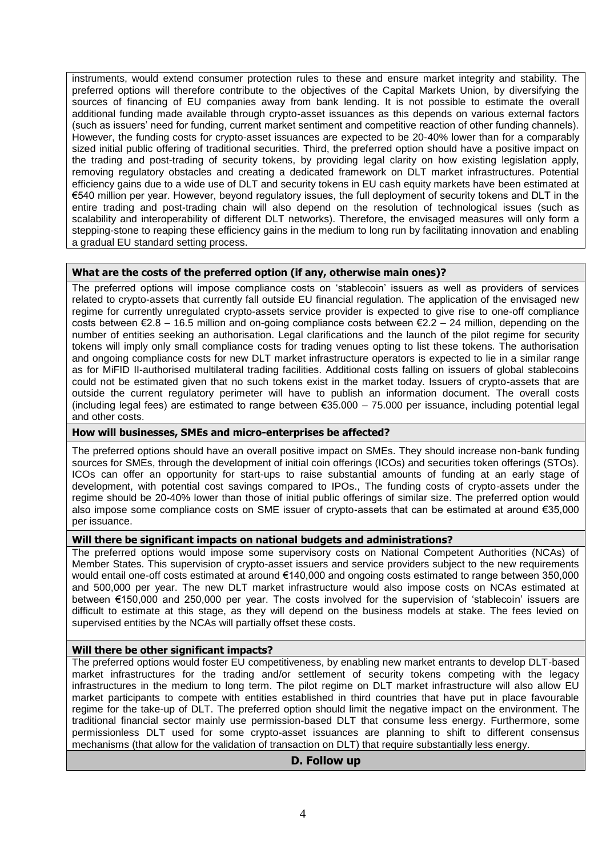instruments, would extend consumer protection rules to these and ensure market integrity and stability. The preferred options will therefore contribute to the objectives of the Capital Markets Union, by diversifying the sources of financing of EU companies away from bank lending. It is not possible to estimate the overall additional funding made available through crypto-asset issuances as this depends on various external factors (such as issuers' need for funding, current market sentiment and competitive reaction of other funding channels). However, the funding costs for crypto-asset issuances are expected to be 20-40% lower than for a comparably sized initial public offering of traditional securities. Third, the preferred option should have a positive impact on the trading and post-trading of security tokens, by providing legal clarity on how existing legislation apply, removing regulatory obstacles and creating a dedicated framework on DLT market infrastructures. Potential efficiency gains due to a wide use of DLT and security tokens in EU cash equity markets have been estimated at €540 million per year. However, beyond regulatory issues, the full deployment of security tokens and DLT in the entire trading and post-trading chain will also depend on the resolution of technological issues (such as scalability and interoperability of different DLT networks). Therefore, the envisaged measures will only form a stepping-stone to reaping these efficiency gains in the medium to long run by facilitating innovation and enabling a gradual EU standard setting process.

# **What are the costs of the preferred option (if any, otherwise main ones)?**

The preferred options will impose compliance costs on 'stablecoin' issuers as well as providers of services related to crypto-assets that currently fall outside EU financial regulation. The application of the envisaged new regime for currently unregulated crypto-assets service provider is expected to give rise to one-off compliance costs between  $\epsilon$ 2.8 – 16.5 million and on-going compliance costs between  $\epsilon$ 2.2 – 24 million, depending on the number of entities seeking an authorisation. Legal clarifications and the launch of the pilot regime for security tokens will imply only small compliance costs for trading venues opting to list these tokens. The authorisation and ongoing compliance costs for new DLT market infrastructure operators is expected to lie in a similar range as for MiFID II-authorised multilateral trading facilities. Additional costs falling on issuers of global stablecoins could not be estimated given that no such tokens exist in the market today. Issuers of crypto-assets that are outside the current regulatory perimeter will have to publish an information document. The overall costs (including legal fees) are estimated to range between  $\epsilon$ 35.000 – 75.000 per issuance, including potential legal and other costs.

# **How will businesses, SMEs and micro-enterprises be affected?**

The preferred options should have an overall positive impact on SMEs. They should increase non-bank funding sources for SMEs, through the development of initial coin offerings (ICOs) and securities token offerings (STOs). ICOs can offer an opportunity for start-ups to raise substantial amounts of funding at an early stage of development, with potential cost savings compared to IPOs., The funding costs of crypto-assets under the regime should be 20-40% lower than those of initial public offerings of similar size. The preferred option would also impose some compliance costs on SME issuer of crypto-assets that can be estimated at around €35,000 per issuance.

# **Will there be significant impacts on national budgets and administrations?**

The preferred options would impose some supervisory costs on National Competent Authorities (NCAs) of Member States. This supervision of crypto-asset issuers and service providers subject to the new requirements would entail one-off costs estimated at around €140,000 and ongoing costs estimated to range between 350,000 and 500,000 per year. The new DLT market infrastructure would also impose costs on NCAs estimated at between €150,000 and 250,000 per year. The costs involved for the supervision of 'stablecoin' issuers are difficult to estimate at this stage, as they will depend on the business models at stake. The fees levied on supervised entities by the NCAs will partially offset these costs.

# **Will there be other significant impacts?**

The preferred options would foster EU competitiveness, by enabling new market entrants to develop DLT-based market infrastructures for the trading and/or settlement of security tokens competing with the legacy infrastructures in the medium to long term. The pilot regime on DLT market infrastructure will also allow EU market participants to compete with entities established in third countries that have put in place favourable regime for the take-up of DLT. The preferred option should limit the negative impact on the environment. The traditional financial sector mainly use permission-based DLT that consume less energy. Furthermore, some permissionless DLT used for some crypto-asset issuances are planning to shift to different consensus mechanisms (that allow for the validation of transaction on DLT) that require substantially less energy.

# **D. Follow up**